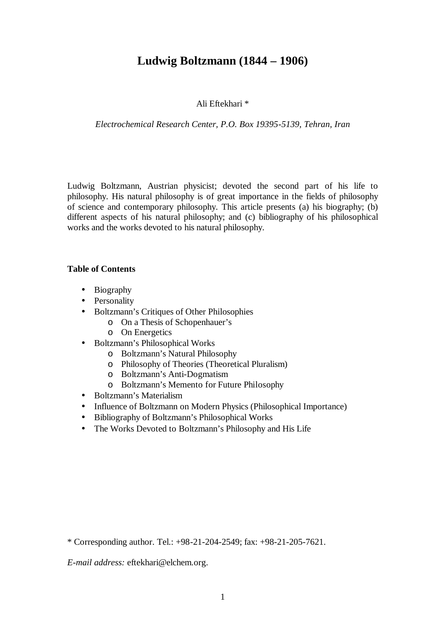## **Ludwig Boltzmann (1844 – 1906)**

#### Ali Eftekhari \*

#### *Electrochemical Research Center, P.O. Box 19395-5139, Tehran, Iran*

Ludwig Boltzmann, Austrian physicist; devoted the second part of his life to philosophy. His natural philosophy is of great importance in the fields of philosophy of science and contemporary philosophy. This article presents (a) his biography; (b) different aspects of his natural philosophy; and (c) bibliography of his philosophical works and the works devoted to his natural philosophy.

#### **Table of Contents**

- Biography
- Personality
- Boltzmann's Critiques of Other Philosophies
	- o On a Thesis of Schopenhauer's
	- o On Energetics
- Boltzmann's Philosophical Works
	- o Boltzmann's Natural Philosophy
	- o Philosophy of Theories (Theoretical Pluralism)
	- o Boltzmann's Anti-Dogmatism
	- o Boltzmann's Memento for Future Philosophy
- Boltzmann's Materialism
- Influence of Boltzmann on Modern Physics (Philosophical Importance)
- Bibliography of Boltzmann's Philosophical Works
- The Works Devoted to Boltzmann's Philosophy and His Life

*E-mail address:* eftekhari@elchem.org.

<sup>\*</sup> Corresponding author. Tel.: +98-21-204-2549; fax: +98-21-205-7621.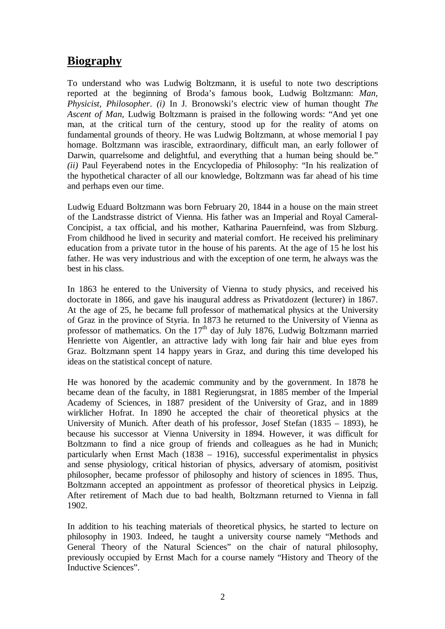# **Biography**

To understand who was Ludwig Boltzmann, it is useful to note two descriptions reported at the beginning of Broda's famous book, Ludwig Boltzmann: *Man, Physicist, Philosopher*. *(i)* In J. Bronowski's electric view of human thought *The Ascent of Man*, Ludwig Boltzmann is praised in the following words: "And yet one man, at the critical turn of the century, stood up for the reality of atoms on fundamental grounds of theory. He was Ludwig Boltzmann, at whose memorial I pay homage. Boltzmann was irascible, extraordinary, difficult man, an early follower of Darwin, quarrelsome and delightful, and everything that a human being should be." *(ii)* Paul Feyerabend notes in the Encyclopedia of Philosophy: "In his realization of the hypothetical character of all our knowledge, Boltzmann was far ahead of his time and perhaps even our time.

Ludwig Eduard Boltzmann was born February 20, 1844 in a house on the main street of the Landstrasse district of Vienna. His father was an Imperial and Royal Cameral-Concipist, a tax official, and his mother, Katharina Pauernfeind, was from Slzburg. From childhood he lived in security and material comfort. He received his preliminary education from a private tutor in the house of his parents. At the age of 15 he lost his father. He was very industrious and with the exception of one term, he always was the best in his class.

In 1863 he entered to the University of Vienna to study physics, and received his doctorate in 1866, and gave his inaugural address as Privatdozent (lecturer) in 1867. At the age of 25, he became full professor of mathematical physics at the University of Graz in the province of Styria. In 1873 he returned to the University of Vienna as professor of mathematics. On the  $17<sup>th</sup>$  day of July 1876, Ludwig Boltzmann married Henriette von Aigentler, an attractive lady with long fair hair and blue eyes from Graz. Boltzmann spent 14 happy years in Graz, and during this time developed his ideas on the statistical concept of nature.

He was honored by the academic community and by the government. In 1878 he became dean of the faculty, in 1881 Regierungsrat, in 1885 member of the Imperial Academy of Sciences, in 1887 president of the University of Graz, and in 1889 wirklicher Hofrat. In 1890 he accepted the chair of theoretical physics at the University of Munich. After death of his professor, Josef Stefan (1835 – 1893), he because his successor at Vienna University in 1894. However, it was difficult for Boltzmann to find a nice group of friends and colleagues as he had in Munich; particularly when Ernst Mach (1838 – 1916), successful experimentalist in physics and sense physiology, critical historian of physics, adversary of atomism, positivist philosopher, became professor of philosophy and history of sciences in 1895. Thus, Boltzmann accepted an appointment as professor of theoretical physics in Leipzig. After retirement of Mach due to bad health, Boltzmann returned to Vienna in fall 1902.

In addition to his teaching materials of theoretical physics, he started to lecture on philosophy in 1903. Indeed, he taught a university course namely "Methods and General Theory of the Natural Sciences" on the chair of natural philosophy, previously occupied by Ernst Mach for a course namely "History and Theory of the Inductive Sciences".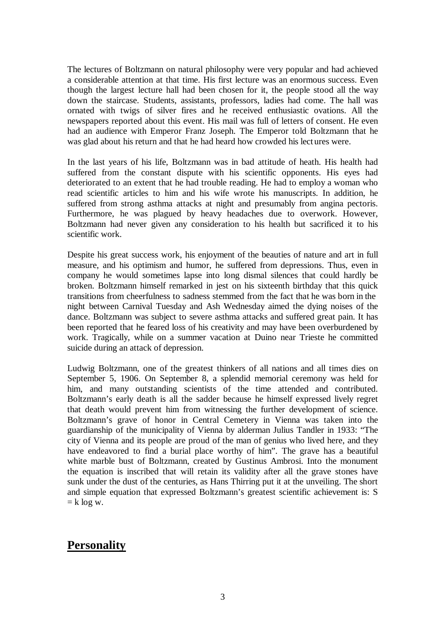The lectures of Boltzmann on natural philosophy were very popular and had achieved a considerable attention at that time. His first lecture was an enormous success. Even though the largest lecture hall had been chosen for it, the people stood all the way down the staircase. Students, assistants, professors, ladies had come. The hall was ornated with twigs of silver fires and he received enthusiastic ovations. All the newspapers reported about this event. His mail was full of letters of consent. He even had an audience with Emperor Franz Joseph. The Emperor told Boltzmann that he was glad about his return and that he had heard how crowded his lect ures were.

In the last years of his life, Boltzmann was in bad attitude of heath. His health had suffered from the constant dispute with his scientific opponents. His eyes had deteriorated to an extent that he had trouble reading. He had to employ a woman who read scientific articles to him and his wife wrote his manuscripts. In addition, he suffered from strong asthma attacks at night and presumably from angina pectoris. Furthermore, he was plagued by heavy headaches due to overwork. However, Boltzmann had never given any consideration to his health but sacrificed it to his scientific work.

Despite his great success work, his enjoyment of the beauties of nature and art in full measure, and his optimism and humor, he suffered from depressions. Thus, even in company he would sometimes lapse into long dismal silences that could hardly be broken. Boltzmann himself remarked in jest on his sixteenth birthday that this quick transitions from cheerfulness to sadness stemmed from the fact that he was born in the night between Carnival Tuesday and Ash Wednesday aimed the dying noises of the dance. Boltzmann was subject to severe asthma attacks and suffered great pain. It has been reported that he feared loss of his creativity and may have been overburdened by work. Tragically, while on a summer vacation at Duino near Trieste he committed suicide during an attack of depression.

Ludwig Boltzmann, one of the greatest thinkers of all nations and all times dies on September 5, 1906. On September 8, a splendid memorial ceremony was held for him, and many outstanding scientists of the time attended and contributed. Boltzmann's early death is all the sadder because he himself expressed lively regret that death would prevent him from witnessing the further development of science. Boltzmann's grave of honor in Central Cemetery in Vienna was taken into the guardianship of the municipality of Vienna by alderman Julius Tandler in 1933: "The city of Vienna and its people are proud of the man of genius who lived here, and they have endeavored to find a burial place worthy of him". The grave has a beautiful white marble bust of Boltzmann, created by Gustinus Ambrosi. Into the monument the equation is inscribed that will retain its validity after all the grave stones have sunk under the dust of the centuries, as Hans Thirring put it at the unveiling. The short and simple equation that expressed Boltzmann's greatest scientific achievement is: S  $=$  k log w.

## **Personality**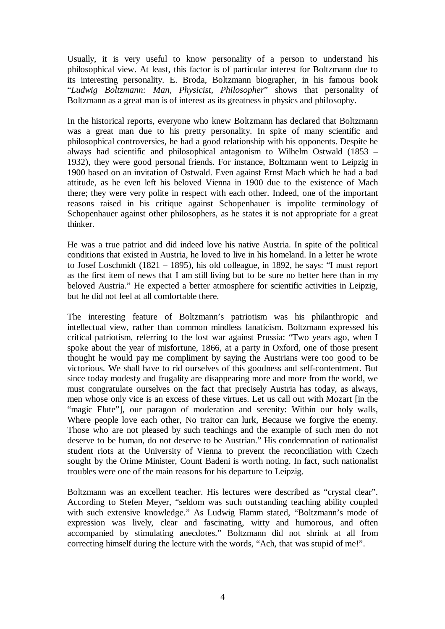Usually, it is very useful to know personality of a person to understand his philosophical view. At least, this factor is of particular interest for Boltzmann due to its interesting personality. E. Broda, Boltzmann biographer, in his famous book "*Ludwig Boltzmann: Man, Physicist, Philosopher*" shows that personality of Boltzmann as a great man is of interest as its greatness in physics and philosophy.

In the historical reports, everyone who knew Boltzmann has declared that Boltzmann was a great man due to his pretty personality. In spite of many scientific and philosophical controversies, he had a good relationship with his opponents. Despite he always had scientific and philosophical antagonism to Wilhelm Ostwald (1853 – 1932), they were good personal friends. For instance, Boltzmann went to Leipzig in 1900 based on an invitation of Ostwald. Even against Ernst Mach which he had a bad attitude, as he even left his beloved Vienna in 1900 due to the existence of Mach there; they were very polite in respect with each other. Indeed, one of the important reasons raised in his critique against Schopenhauer is impolite terminology of Schopenhauer against other philosophers, as he states it is not appropriate for a great thinker.

He was a true patriot and did indeed love his native Austria. In spite of the political conditions that existed in Austria, he loved to live in his homeland. In a letter he wrote to Josef Loschmidt (1821 – 1895), his old colleague, in 1892, he says: "I must report as the first item of news that I am still living but to be sure no better here than in my beloved Austria." He expected a better atmosphere for scientific activities in Leipzig, but he did not feel at all comfortable there.

The interesting feature of Boltzmann's patriotism was his philanthropic and intellectual view, rather than common mindless fanaticism. Boltzmann expressed his critical patriotism, referring to the lost war against Prussia: "Two years ago, when I spoke about the year of misfortune, 1866, at a party in Oxford, one of those present thought he would pay me compliment by saying the Austrians were too good to be victorious. We shall have to rid ourselves of this goodness and self-contentment. But since today modesty and frugality are disappearing more and more from the world, we must congratulate ourselves on the fact that precisely Austria has today, as always, men whose only vice is an excess of these virtues. Let us call out with Mozart [in the "magic Flute", our paragon of moderation and serenity: Within our holy walls, Where people love each other, No traitor can lurk, Because we forgive the enemy. Those who are not pleased by such teachings and the example of such men do not deserve to be human, do not deserve to be Austrian." His condemnation of nationalist student riots at the University of Vienna to prevent the reconciliation with Czech sought by the Orime Minister, Count Badeni is worth noting. In fact, such nationalist troubles were one of the main reasons for his departure to Leipzig.

Boltzmann was an excellent teacher. His lectures were described as "crystal clear". According to Stefen Meyer, "seldom was such outstanding teaching ability coupled with such extensive knowledge." As Ludwig Flamm stated, "Boltzmann's mode of expression was lively, clear and fascinating, witty and humorous, and often accompanied by stimulating anecdotes." Boltzmann did not shrink at all from correcting himself during the lecture with the words, "Ach, that was stupid of me!".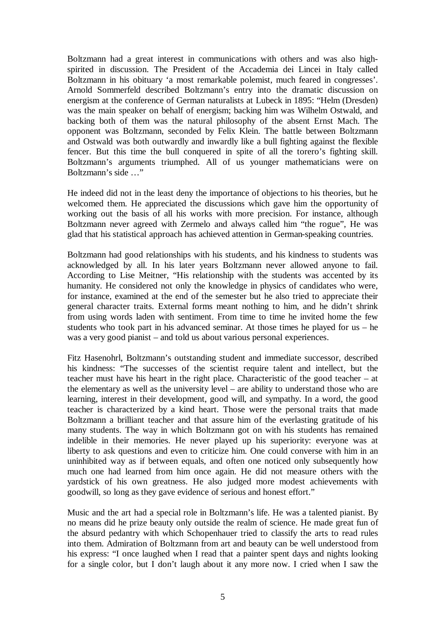Boltzmann had a great interest in communications with others and was also highspirited in discussion. The President of the Accademia dei Lincei in Italy called Boltzmann in his obituary 'a most remarkable polemist, much feared in congresses'. Arnold Sommerfeld described Boltzmann's entry into the dramatic discussion on energism at the conference of German naturalists at Lubeck in 1895: "Helm (Dresden) was the main speaker on behalf of energism; backing him was Wilhelm Ostwald, and backing both of them was the natural philosophy of the absent Ernst Mach. The opponent was Boltzmann, seconded by Felix Klein. The battle between Boltzmann and Ostwald was both outwardly and inwardly like a bull fighting against the flexible fencer. But this time the bull conquered in spite of all the torero's fighting skill. Boltzmann's arguments triumphed. All of us younger mathematicians were on Boltzmann's side …"

He indeed did not in the least deny the importance of objections to his theories, but he welcomed them. He appreciated the discussions which gave him the opportunity of working out the basis of all his works with more precision. For instance, although Boltzmann never agreed with Zermelo and always called him "the rogue", He was glad that his statistical approach has achieved attention in German-speaking countries.

Boltzmann had good relationships with his students, and his kindness to students was acknowledged by all. In his later years Boltzmann never allowed anyone to fail. According to Lise Meitner, "His relationship with the students was accented by its humanity. He considered not only the knowledge in physics of candidates who were, for instance, examined at the end of the semester but he also tried to appreciate their general character traits. External forms meant nothing to him, and he didn't shrink from using words laden with sentiment. From time to time he invited home the few students who took part in his advanced seminar. At those times he played for us – he was a very good pianist – and told us about various personal experiences.

Fitz Hasenohrl, Boltzmann's outstanding student and immediate successor, described his kindness: "The successes of the scientist require talent and intellect, but the teacher must have his heart in the right place. Characteristic of the good teacher – at the elementary as well as the university level – are ability to understand those who are learning, interest in their development, good will, and sympathy. In a word, the good teacher is characterized by a kind heart. Those were the personal traits that made Boltzmann a brilliant teacher and that assure him of the everlasting gratitude of his many students. The way in which Boltzmann got on with his students has remained indelible in their memories. He never played up his superiority: everyone was at liberty to ask questions and even to criticize him. One could converse with him in an uninhibited way as if between equals, and often one noticed only subsequently how much one had learned from him once again. He did not measure others with the yardstick of his own greatness. He also judged more modest achievements with goodwill, so long as they gave evidence of serious and honest effort."

Music and the art had a special role in Boltzmann's life. He was a talented pianist. By no means did he prize beauty only outside the realm of science. He made great fun of the absurd pedantry with which Schopenhauer tried to classify the arts to read rules into them. Admiration of Boltzmann from art and beauty can be well understood from his express: "I once laughed when I read that a painter spent days and nights looking for a single color, but I don't laugh about it any more now. I cried when I saw the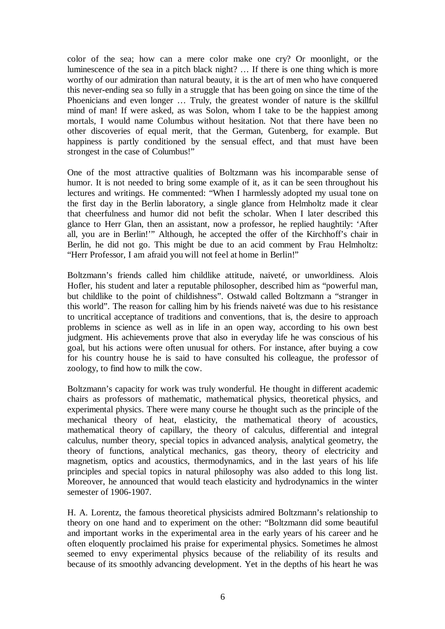color of the sea; how can a mere color make one cry? Or moonlight, or the luminescence of the sea in a pitch black night? … If there is one thing which is more worthy of our admiration than natural beauty, it is the art of men who have conquered this never-ending sea so fully in a struggle that has been going on since the time of the Phoenicians and even longer … Truly, the greatest wonder of nature is the skillful mind of man! If were asked, as was Solon, whom I take to be the happiest among mortals, I would name Columbus without hesitation. Not that there have been no other discoveries of equal merit, that the German, Gutenberg, for example. But happiness is partly conditioned by the sensual effect, and that must have been strongest in the case of Columbus!"

One of the most attractive qualities of Boltzmann was his incomparable sense of humor. It is not needed to bring some example of it, as it can be seen throughout his lectures and writings. He commented: "When I harmlessly adopted my usual tone on the first day in the Berlin laboratory, a single glance from Helmholtz made it clear that cheerfulness and humor did not befit the scholar. When I later described this glance to Herr Glan, then an assistant, now a professor, he replied haughtily: 'After all, you are in Berlin!" Although, he accepted the offer of the Kirchhoff's chair in Berlin, he did not go. This might be due to an acid comment by Frau Helmholtz: "Herr Professor, I am afraid you will not feel at home in Berlin!"

Boltzmann's friends called him childlike attitude, naiveté, or unworldiness. Alois Hofler, his student and later a reputable philosopher, described him as "powerful man, but childlike to the point of childishness". Ostwald called Boltzmann a "stranger in this world". The reason for calling him by his friends naiveté was due to his resistance to uncritical acceptance of traditions and conventions, that is, the desire to approach problems in science as well as in life in an open way, according to his own best judgment. His achievements prove that also in everyday life he was conscious of his goal, but his actions were often unusual for others. For instance, after buying a cow for his country house he is said to have consulted his colleague, the professor of zoology, to find how to milk the cow.

Boltzmann's capacity for work was truly wonderful. He thought in different academic chairs as professors of mathematic, mathematical physics, theoretical physics, and experimental physics. There were many course he thought such as the principle of the mechanical theory of heat, elasticity, the mathematical theory of acoustics, mathematical theory of capillary, the theory of calculus, differential and integral calculus, number theory, special topics in advanced analysis, analytical geometry, the theory of functions, analytical mechanics, gas theory, theory of electricity and magnetism, optics and acoustics, thermodynamics, and in the last years of his life principles and special topics in natural philosophy was also added to this long list. Moreover, he announced that would teach elasticity and hydrodynamics in the winter semester of 1906-1907.

H. A. Lorentz, the famous theoretical physicists admired Boltzmann's relationship to theory on one hand and to experiment on the other: "Boltzmann did some beautiful and important works in the experimental area in the early years of his career and he often eloquently proclaimed his praise for experimental physics. Sometimes he almost seemed to envy experimental physics because of the reliability of its results and because of its smoothly advancing development. Yet in the depths of his heart he was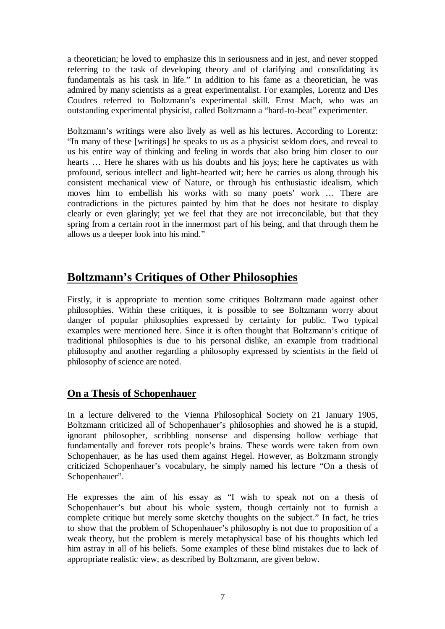a theoretician; he loved to emphasize this in seriousness and in jest, and never stopped referring to the task of developing theory and of clarifying and consolidating its fundamentals as his task in life." In addition to his fame as a theoretician, he was admired by many scientists as a great experimentalist. For examples, Lorentz and Des Coudres referred to Boltzmann's experimental skill. Ernst Mach, who was an outstanding experimental physicist, called Boltzmann a "hard-to-beat" experimenter.

Boltzmann's writings were also lively as well as his lectures. According to Lorentz: "In many of these [writings] he speaks to us as a physicist seldom does, and reveal to us his entire way of thinking and feeling in words that also bring him closer to our hearts … Here he shares with us his doubts and his joys; here he captivates us with profound, serious intellect and light-hearted wit; here he carries us along through his consistent mechanical view of Nature, or through his enthusiastic idealism, which moves him to embellish his works with so many poets' work … There are contradictions in the pictures painted by him that he does not hesitate to display clearly or even glaringly; yet we feel that they are not irreconcilable, but that they spring from a certain root in the innermost part of his being, and that through them he allows us a deeper look into his mind."

# **Boltzmann's Critiques of Other Philosophies**

Firstly, it is appropriate to mention some critiques Boltzmann made against other philosophies. Within these critiques, it is possible to see Boltzmann worry about danger of popular philosophies expressed by certainty for public. Two typical examples were mentioned here. Since it is often thought that Boltzmann's critique of traditional philosophies is due to his personal dislike, an example from traditional philosophy and another regarding a philosophy expressed by scientists in the field of philosophy of science are noted.

### **On a Thesis of Schopenhauer**

In a lecture delivered to the Vienna Philosophical Society on 21 January 1905, Boltzmann criticized all of Schopenhauer's philosophies and showed he is a stupid, ignorant philosopher, scribbling nonsense and dispensing hollow verbiage that fundamentally and forever rots people's brains. These words were taken from own Schopenhauer, as he has used them against Hegel. However, as Boltzmann strongly criticized Schopenhauer's vocabulary, he simply named his lecture "On a thesis of Schopenhauer".

He expresses the aim of his essay as "I wish to speak not on a thesis of Schopenhauer's but about his whole system, though certainly not to furnish a complete critique but merely some sketchy thoughts on the subject." In fact, he tries to show that the problem of Schopenhauer's philosophy is not due to proposition of a weak theory, but the problem is merely metaphysical base of his thoughts which led him astray in all of his beliefs. Some examples of these blind mistakes due to lack of appropriate realistic view, as described by Boltzmann, are given below.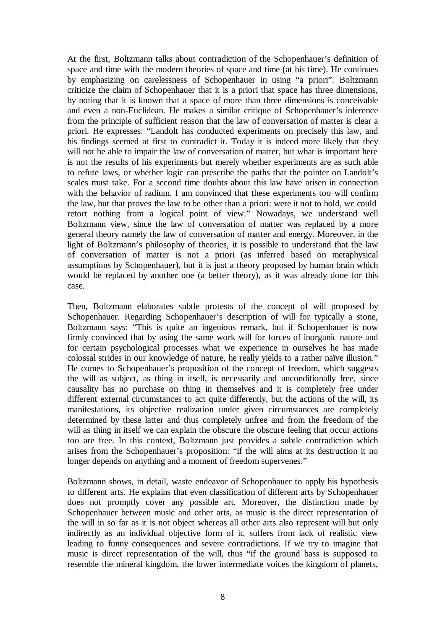At the first, Boltzmann talks about contradiction of the Schopenhauer's definition of space and time with the modern theories of space and time (at his time). He continues by emphasizing on carelessness of Schopenhauer in using "a priori". Boltzmann criticize the claim of Schopenhauer that it is a priori that space has three dimensions, by noting that it is known that a space of more than three dimensions is conceivable and even a non-Euclidean. He makes a similar critique of Schopenhauer's inference from the principle of sufficient reason that the law of conversation of matter is clear a priori. He expresses: "Landolt has conducted experiments on precisely this law, and his findings seemed at first to contradict it. Today it is indeed more likely that they will not be able to impair the law of conversation of matter, but what is important here is not the results of his experiments but merely whether experiments are as such able to refute laws, or whether logic can prescribe the paths that the pointer on Landolt's scales must take. For a second time doubts about this law have arisen in connection with the behavior of radium. I am convinced that these experiments too will confirm the law, but that proves the law to be other than a priori: were it not to hold, we could retort nothing from a logical point of view." Nowadays, we understand well Boltzmann view, since the law of conversation of matter was replaced by a more general theory namely the law of conversation of matter and energy. Moreover, in the light of Boltzmann's philosophy of theories, it is possible to understand that the law of conversation of matter is not a priori (as inferred based on metaphysical assumptions by Schopenhauer), but it is just a theory proposed by human brain which would be replaced by another one (a better theory), as it was already done for this case.

Then, Boltzmann elaborates subtle protests of the concept of will proposed by Schopenhauer. Regarding Schopenhauer's description of will for typically a stone, Boltzmann says: "This is quite an ingenious remark, but if Schopenhauer is now firmly convinced that by using the same work will for forces of inorganic nature and for certain psychological processes what we experience in ourselves he has made colossal strides in our knowledge of nature, he really yields to a rather naïve illusion." He comes to Schopenhauer's proposition of the concept of freedom, which suggests the will as subject, as thing in itself, is necessarily and unconditionally free, since causality has no purchase on thing in themselves and it is completely free under different external circumstances to act quite differently, but the actions of the will, its manifestations, its objective realization under given circumstances are completely determined by these latter and thus completely unfree and from the freedom of the will as thing in itself we can explain the obscure the obscure feeling that occur actions too are free. In this context, Boltzmann just provides a subtle contradiction which arises from the Schopenhauer's proposition: "if the will aims at its destruction it no longer depends on anything and a moment of freedom supervenes."

Boltzmann shows, in detail, waste endeavor of Schopenhauer to apply his hypothesis to different arts. He explains that even classification of different arts by Schopenhauer does not promptly cover any possible art. Moreover, the distinction made by Schopenhauer between music and other arts, as music is the direct representation of the will in so far as it is not object whereas all other arts also represent will but only indirectly as an individual objective form of it, suffers from lack of realistic view leading to funny consequences and severe contradictions. If we try to imagine that music is direct representation of the will, thus "if the ground bass is supposed to resemble the mineral kingdom, the lower intermediate voices the kingdom of planets,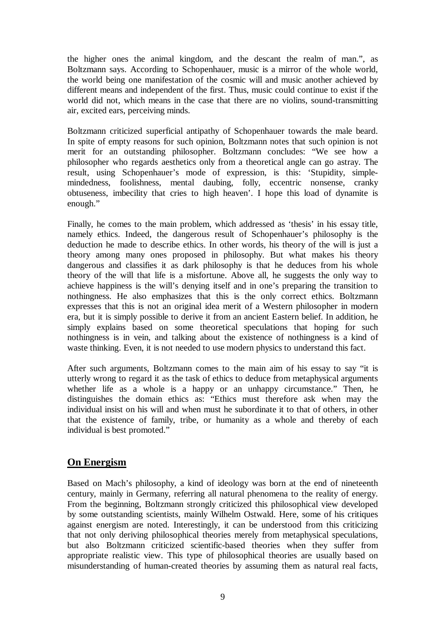the higher ones the animal kingdom, and the descant the realm of man.", as Boltzmann says. According to Schopenhauer, music is a mirror of the whole world, the world being one manifestation of the cosmic will and music another achieved by different means and independent of the first. Thus, music could continue to exist if the world did not, which means in the case that there are no violins, sound-transmitting air, excited ears, perceiving minds.

Boltzmann criticized superficial antipathy of Schopenhauer towards the male beard. In spite of empty reasons for such opinion, Boltzmann notes that such opinion is not merit for an outstanding philosopher. Boltzmann concludes: "We see how a philosopher who regards aesthetics only from a theoretical angle can go astray. The result, using Schopenhauer's mode of expression, is this: 'Stupidity, simplemindedness, foolishness, mental daubing, folly, eccentric nonsense, cranky obtuseness, imbecility that cries to high heaven'. I hope this load of dynamite is enough."

Finally, he comes to the main problem, which addressed as 'thesis' in his essay title, namely ethics. Indeed, the dangerous result of Schopenhauer's philosophy is the deduction he made to describe ethics. In other words, his theory of the will is just a theory among many ones proposed in philosophy. But what makes his theory dangerous and classifies it as dark philosophy is that he deduces from his whole theory of the will that life is a misfortune. Above all, he suggests the only way to achieve happiness is the will's denying itself and in one's preparing the transition to nothingness. He also emphasizes that this is the only correct ethics. Boltzmann expresses that this is not an original idea merit of a Western philosopher in modern era, but it is simply possible to derive it from an ancient Eastern belief. In addition, he simply explains based on some theoretical speculations that hoping for such nothingness is in vein, and talking about the existence of nothingness is a kind of waste thinking. Even, it is not needed to use modern physics to understand this fact.

After such arguments, Boltzmann comes to the main aim of his essay to say "it is utterly wrong to regard it as the task of ethics to deduce from metaphysical arguments whether life as a whole is a happy or an unhappy circumstance." Then, he distinguishes the domain ethics as: "Ethics must therefore ask when may the individual insist on his will and when must he subordinate it to that of others, in other that the existence of family, tribe, or humanity as a whole and thereby of each individual is best promoted."

### **On Energism**

Based on Mach's philosophy, a kind of ideology was born at the end of nineteenth century, mainly in Germany, referring all natural phenomena to the reality of energy. From the beginning, Boltzmann strongly criticized this philosophical view developed by some outstanding scientists, mainly Wilhelm Ostwald. Here, some of his critiques against energism are noted. Interestingly, it can be understood from this criticizing that not only deriving philosophical theories merely from metaphysical speculations, but also Boltzmann criticized scientific-based theories when they suffer from appropriate realistic view. This type of philosophical theories are usually based on misunderstanding of human-created theories by assuming them as natural real facts,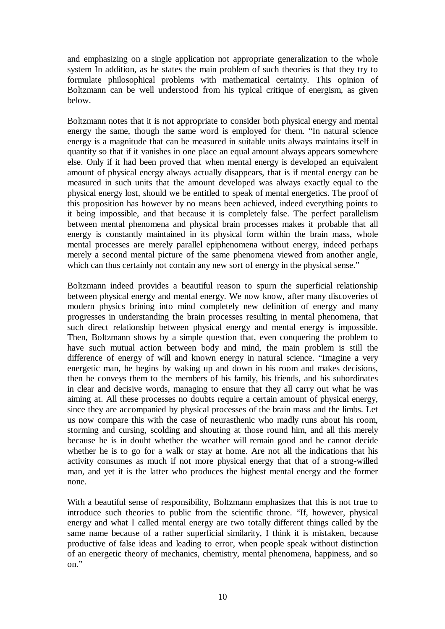and emphasizing on a single application not appropriate generalization to the whole system In addition, as he states the main problem of such theories is that they try to formulate philosophical problems with mathematical certainty. This opinion of Boltzmann can be well understood from his typical critique of energism, as given below.

Boltzmann notes that it is not appropriate to consider both physical energy and mental energy the same, though the same word is employed for them. "In natural science energy is a magnitude that can be measured in suitable units always maintains itself in quantity so that if it vanishes in one place an equal amount always appears somewhere else. Only if it had been proved that when mental energy is developed an equivalent amount of physical energy always actually disappears, that is if mental energy can be measured in such units that the amount developed was always exactly equal to the physical energy lost, should we be entitled to speak of mental energetics. The proof of this proposition has however by no means been achieved, indeed everything points to it being impossible, and that because it is completely false. The perfect parallelism between mental phenomena and physical brain processes makes it probable that all energy is constantly maintained in its physical form within the brain mass, whole mental processes are merely parallel epiphenomena without energy, indeed perhaps merely a second mental picture of the same phenomena viewed from another angle, which can thus certainly not contain any new sort of energy in the physical sense."

Boltzmann indeed provides a beautiful reason to spurn the superficial relationship between physical energy and mental energy. We now know, after many discoveries of modern physics brining into mind completely new definition of energy and many progresses in understanding the brain processes resulting in mental phenomena, that such direct relationship between physical energy and mental energy is impossible. Then, Boltzmann shows by a simple question that, even conquering the problem to have such mutual action between body and mind, the main problem is still the difference of energy of will and known energy in natural science. "Imagine a very energetic man, he begins by waking up and down in his room and makes decisions, then he conveys them to the members of his family, his friends, and his subordinates in clear and decisive words, managing to ensure that they all carry out what he was aiming at. All these processes no doubts require a certain amount of physical energy, since they are accompanied by physical processes of the brain mass and the limbs. Let us now compare this with the case of neurasthenic who madly runs about his room, storming and cursing, scolding and shouting at those round him, and all this merely because he is in doubt whether the weather will remain good and he cannot decide whether he is to go for a walk or stay at home. Are not all the indications that his activity consumes as much if not more physical energy that that of a strong-willed man, and yet it is the latter who produces the highest mental energy and the former none.

With a beautiful sense of responsibility, Boltzmann emphasizes that this is not true to introduce such theories to public from the scientific throne. "If, however, physical energy and what I called mental energy are two totally different things called by the same name because of a rather superficial similarity, I think it is mistaken, because productive of false ideas and leading to error, when people speak without distinction of an energetic theory of mechanics, chemistry, mental phenomena, happiness, and so on."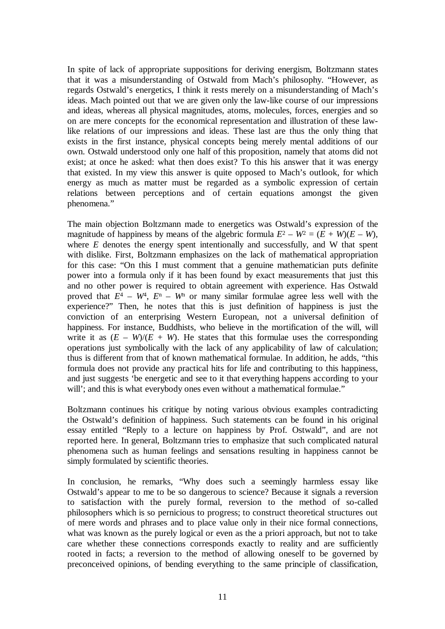In spite of lack of appropriate suppositions for deriving energism, Boltzmann states that it was a misunderstanding of Ostwald from Mach's philosophy. "However, as regards Ostwald's energetics, I think it rests merely on a misunderstanding of Mach's ideas. Mach pointed out that we are given only the law-like course of our impressions and ideas, whereas all physical magnitudes, atoms, molecules, forces, energies and so on are mere concepts for the economical representation and illustration of these lawlike relations of our impressions and ideas. These last are thus the only thing that exists in the first instance, physical concepts being merely mental additions of our own. Ostwald understood only one half of this proposition, namely that atoms did not exist; at once he asked: what then does exist? To this his answer that it was energy that existed. In my view this answer is quite opposed to Mach's outlook, for which energy as much as matter must be regarded as a symbolic expression of certain relations between perceptions and of certain equations amongst the given phenomena."

The main objection Boltzmann made to energetics was Ostwald's expression of the magnitude of happiness by means of the algebric formula  $E^2 - W^2 = (E + W)(E - W)$ . where *E* denotes the energy spent intentionally and successfully, and W that spent with dislike. First, Boltzmann emphasizes on the lack of mathematical appropriation for this case: "On this I must comment that a genuine mathematician puts definite power into a formula only if it has been found by exact measurements that just this and no other power is required to obtain agreement with experience. Has Ostwald proved that  $E^4 - W^4$ ,  $E^n - W^n$  or many similar formulae agree less well with the experience?" Then, he notes that this is just definition of happiness is just the conviction of an enterprising Western European, not a universal definition of happiness. For instance, Buddhists, who believe in the mortification of the will, will write it as  $(E - W)/(E + W)$ . He states that this formulae uses the corresponding operations just symbolically with the lack of any applicability of law of calculation; thus is different from that of known mathematical formulae. In addition, he adds, "this formula does not provide any practical hits for life and contributing to this happiness, and just suggests 'be energetic and see to it that everything happens according to your will'; and this is what everybody ones even without a mathematical formulae."

Boltzmann continues his critique by noting various obvious examples contradicting the Ostwald's definition of happiness. Such statements can be found in his original essay entitled "Reply to a lecture on happiness by Prof. Ostwald", and are not reported here. In general, Boltzmann tries to emphasize that such complicated natural phenomena such as human feelings and sensations resulting in happiness cannot be simply formulated by scientific theories.

In conclusion, he remarks, "Why does such a seemingly harmless essay like Ostwald's appear to me to be so dangerous to science? Because it signals a reversion to satisfaction with the purely formal, reversion to the method of so-called philosophers which is so pernicious to progress; to construct theoretical structures out of mere words and phrases and to place value only in their nice formal connections, what was known as the purely logical or even as the a priori approach, but not to take care whether these connections corresponds exactly to reality and are sufficiently rooted in facts; a reversion to the method of allowing oneself to be governed by preconceived opinions, of bending everything to the same principle of classification,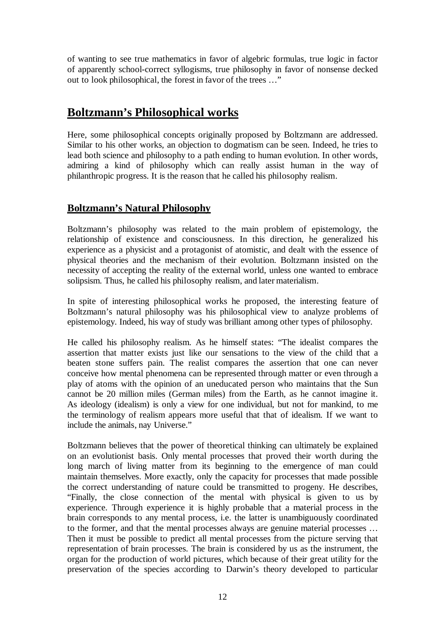of wanting to see true mathematics in favor of algebric formulas, true logic in factor of apparently school-correct syllogisms, true philosophy in favor of nonsense decked out to look philosophical, the forest in favor of the trees …"

## **Boltzmann's Philosophical works**

Here, some philosophical concepts originally proposed by Boltzmann are addressed. Similar to his other works, an objection to dogmatism can be seen. Indeed, he tries to lead both science and philosophy to a path ending to human evolution. In other words, admiring a kind of philosophy which can really assist human in the way of philanthropic progress. It is the reason that he called his philosophy realism.

### **Boltzmann's Natural Philosophy**

Boltzmann's philosophy was related to the main problem of epistemology, the relationship of existence and consciousness. In this direction, he generalized his experience as a physicist and a protagonist of atomistic, and dealt with the essence of physical theories and the mechanism of their evolution. Boltzmann insisted on the necessity of accepting the reality of the external world, unless one wanted to embrace solipsism. Thus, he called his philosophy realism, and later materialism.

In spite of interesting philosophical works he proposed, the interesting feature of Boltzmann's natural philosophy was his philosophical view to analyze problems of epistemology. Indeed, his way of study was brilliant among other types of philosophy.

He called his philosophy realism. As he himself states: "The idealist compares the assertion that matter exists just like our sensations to the view of the child that a beaten stone suffers pain. The realist compares the assertion that one can never conceive how mental phenomena can be represented through matter or even through a play of atoms with the opinion of an uneducated person who maintains that the Sun cannot be 20 million miles (German miles) from the Earth, as he cannot imagine it. As ideology (idealism) is only a view for one individual, but not for mankind, to me the terminology of realism appears more useful that that of idealism. If we want to include the animals, nay Universe."

Boltzmann believes that the power of theoretical thinking can ultimately be explained on an evolutionist basis. Only mental processes that proved their worth during the long march of living matter from its beginning to the emergence of man could maintain themselves. More exactly, only the capacity for processes that made possible the correct understanding of nature could be transmitted to progeny. He describes, "Finally, the close connection of the mental with physical is given to us by experience. Through experience it is highly probable that a material process in the brain corresponds to any mental process, i.e. the latter is unambiguously coordinated to the former, and that the mental processes always are genuine material processes … Then it must be possible to predict all mental processes from the picture serving that representation of brain processes. The brain is considered by us as the instrument, the organ for the production of world pictures, which because of their great utility for the preservation of the species according to Darwin's theory developed to particular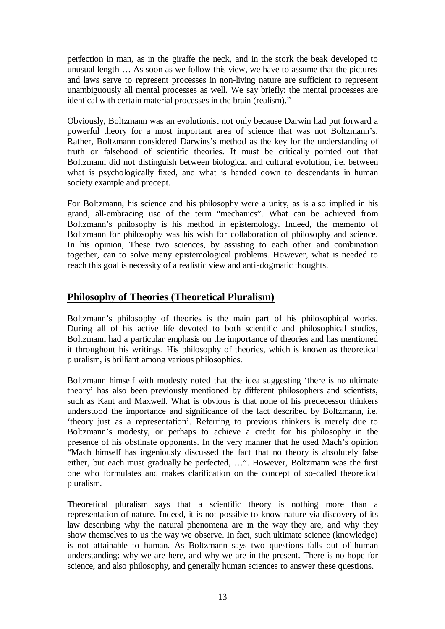perfection in man, as in the giraffe the neck, and in the stork the beak developed to unusual length … As soon as we follow this view, we have to assume that the pictures and laws serve to represent processes in non-living nature are sufficient to represent unambiguously all mental processes as well. We say briefly: the mental processes are identical with certain material processes in the brain (realism)."

Obviously, Boltzmann was an evolutionist not only because Darwin had put forward a powerful theory for a most important area of science that was not Boltzmann's. Rather, Boltzmann considered Darwins's method as the key for the understanding of truth or falsehood of scientific theories. It must be critically pointed out that Boltzmann did not distinguish between biological and cultural evolution, i.e. between what is psychologically fixed, and what is handed down to descendants in human society example and precept.

For Boltzmann, his science and his philosophy were a unity, as is also implied in his grand, all-embracing use of the term "mechanics". What can be achieved from Boltzmann's philosophy is his method in epistemology. Indeed, the memento of Boltzmann for philosophy was his wish for collaboration of philosophy and science. In his opinion, These two sciences, by assisting to each other and combination together, can to solve many epistemological problems. However, what is needed to reach this goal is necessity of a realistic view and anti-dogmatic thoughts.

### **Philosophy of Theories (Theoretical Pluralism)**

Boltzmann's philosophy of theories is the main part of his philosophical works. During all of his active life devoted to both scientific and philosophical studies, Boltzmann had a particular emphasis on the importance of theories and has mentioned it throughout his writings. His philosophy of theories, which is known as theoretical pluralism, is brilliant among various philosophies.

Boltzmann himself with modesty noted that the idea suggesting 'there is no ultimate theory' has also been previously mentioned by different philosophers and scientists, such as Kant and Maxwell. What is obvious is that none of his predecessor thinkers understood the importance and significance of the fact described by Boltzmann, i.e. 'theory just as a representation'. Referring to previous thinkers is merely due to Boltzmann's modesty, or perhaps to achieve a credit for his philosophy in the presence of his obstinate opponents. In the very manner that he used Mach's opinion "Mach himself has ingeniously discussed the fact that no theory is absolutely false either, but each must gradually be perfected, …". However, Boltzmann was the first one who formulates and makes clarification on the concept of so-called theoretical pluralism.

Theoretical pluralism says that a scientific theory is nothing more than a representation of nature. Indeed, it is not possible to know nature via discovery of its law describing why the natural phenomena are in the way they are, and why they show themselves to us the way we observe. In fact, such ultimate science (knowledge) is not attainable to human. As Boltzmann says two questions falls out of human understanding: why we are here, and why we are in the present. There is no hope for science, and also philosophy, and generally human sciences to answer these questions.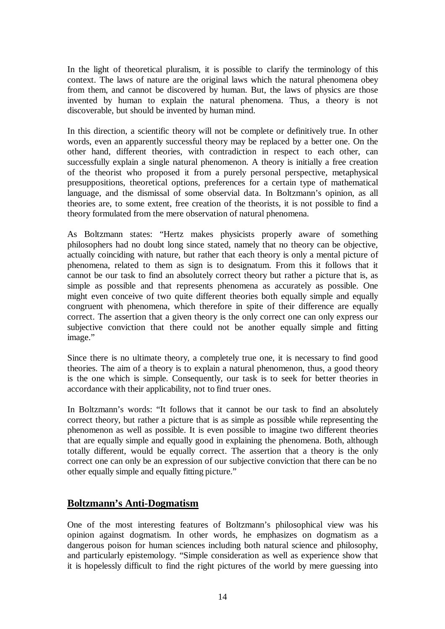In the light of theoretical pluralism, it is possible to clarify the terminology of this context. The laws of nature are the original laws which the natural phenomena obey from them, and cannot be discovered by human. But, the laws of physics are those invented by human to explain the natural phenomena. Thus, a theory is not discoverable, but should be invented by human mind.

In this direction, a scientific theory will not be complete or definitively true. In other words, even an apparently successful theory may be replaced by a better one. On the other hand, different theories, with contradiction in respect to each other, can successfully explain a single natural phenomenon. A theory is initially a free creation of the theorist who proposed it from a purely personal perspective, metaphysical presuppositions, theoretical options, preferences for a certain type of mathematical language, and the dismissal of some observial data. In Boltzmann's opinion, as all theories are, to some extent, free creation of the theorists, it is not possible to find a theory formulated from the mere observation of natural phenomena.

As Boltzmann states: "Hertz makes physicists properly aware of something philosophers had no doubt long since stated, namely that no theory can be objective, actually coinciding with nature, but rather that each theory is only a mental picture of phenomena, related to them as sign is to designatum. From this it follows that it cannot be our task to find an absolutely correct theory but rather a picture that is, as simple as possible and that represents phenomena as accurately as possible. One might even conceive of two quite different theories both equally simple and equally congruent with phenomena, which therefore in spite of their difference are equally correct. The assertion that a given theory is the only correct one can only express our subjective conviction that there could not be another equally simple and fitting image."

Since there is no ultimate theory, a completely true one, it is necessary to find good theories. The aim of a theory is to explain a natural phenomenon, thus, a good theory is the one which is simple. Consequently, our task is to seek for better theories in accordance with their applicability, not to find truer ones.

In Boltzmann's words: "It follows that it cannot be our task to find an absolutely correct theory, but rather a picture that is as simple as possible while representing the phenomenon as well as possible. It is even possible to imagine two different theories that are equally simple and equally good in explaining the phenomena. Both, although totally different, would be equally correct. The assertion that a theory is the only correct one can only be an expression of our subjective conviction that there can be no other equally simple and equally fitting picture."

### **Boltzmann's Anti-Dogmatism**

One of the most interesting features of Boltzmann's philosophical view was his opinion against dogmatism. In other words, he emphasizes on dogmatism as a dangerous poison for human sciences including both natural science and philosophy, and particularly epistemology. "Simple consideration as well as experience show that it is hopelessly difficult to find the right pictures of the world by mere guessing into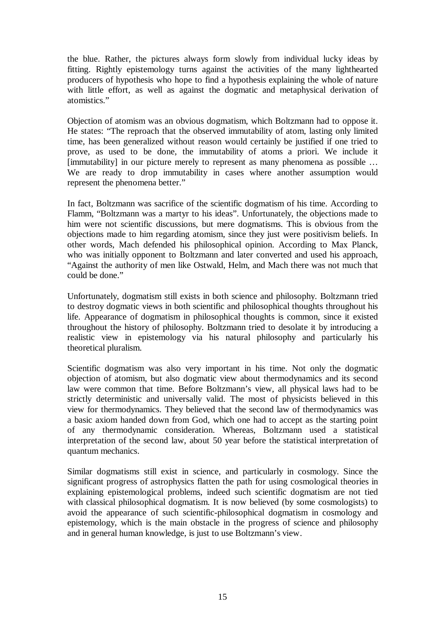the blue. Rather, the pictures always form slowly from individual lucky ideas by fitting. Rightly epistemology turns against the activities of the many lighthearted producers of hypothesis who hope to find a hypothesis explaining the whole of nature with little effort, as well as against the dogmatic and metaphysical derivation of atomistics."

Objection of atomism was an obvious dogmatism, which Boltzmann had to oppose it. He states: "The reproach that the observed immutability of atom, lasting only limited time, has been generalized without reason would certainly be justified if one tried to prove, as used to be done, the immutability of atoms a priori. We include it [immutability] in our picture merely to represent as many phenomena as possible ... We are ready to drop immutability in cases where another assumption would represent the phenomena better."

In fact, Boltzmann was sacrifice of the scientific dogmatism of his time. According to Flamm, "Boltzmann was a martyr to his ideas". Unfortunately, the objections made to him were not scientific discussions, but mere dogmatisms. This is obvious from the objections made to him regarding atomism, since they just were positivism beliefs. In other words, Mach defended his philosophical opinion. According to Max Planck, who was initially opponent to Boltzmann and later converted and used his approach, "Against the authority of men like Ostwald, Helm, and Mach there was not much that could be done."

Unfortunately, dogmatism still exists in both science and philosophy. Boltzmann tried to destroy dogmatic views in both scientific and philosophical thoughts throughout his life. Appearance of dogmatism in philosophical thoughts is common, since it existed throughout the history of philosophy. Boltzmann tried to desolate it by introducing a realistic view in epistemology via his natural philosophy and particularly his theoretical pluralism.

Scientific dogmatism was also very important in his time. Not only the dogmatic objection of atomism, but also dogmatic view about thermodynamics and its second law were common that time. Before Boltzmann's view, all physical laws had to be strictly deterministic and universally valid. The most of physicists believed in this view for thermodynamics. They believed that the second law of thermodynamics was a basic axiom handed down from God, which one had to accept as the starting point of any thermodynamic consideration. Whereas, Boltzmann used a statistical interpretation of the second law, about 50 year before the statistical interpretation of quantum mechanics.

Similar dogmatisms still exist in science, and particularly in cosmology. Since the significant progress of astrophysics flatten the path for using cosmological theories in explaining epistemological problems, indeed such scientific dogmatism are not tied with classical philosophical dogmatism. It is now believed (by some cosmologists) to avoid the appearance of such scientific-philosophical dogmatism in cosmology and epistemology, which is the main obstacle in the progress of science and philosophy and in general human knowledge, is just to use Boltzmann's view.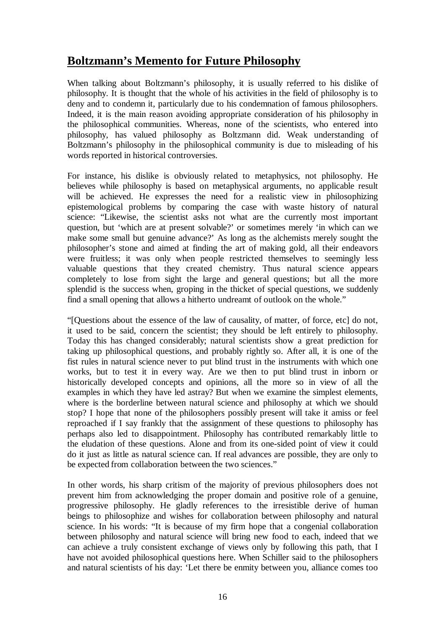# **Boltzmann's Memento for Future Philosophy**

When talking about Boltzmann's philosophy, it is usually referred to his dislike of philosophy. It is thought that the whole of his activities in the field of philosophy is to deny and to condemn it, particularly due to his condemnation of famous philosophers. Indeed, it is the main reason avoiding appropriate consideration of his philosophy in the philosophical communities. Whereas, none of the scientists, who entered into philosophy, has valued philosophy as Boltzmann did. Weak understanding of Boltzmann's philosophy in the philosophical community is due to misleading of his words reported in historical controversies.

For instance, his dislike is obviously related to metaphysics, not philosophy. He believes while philosophy is based on metaphysical arguments, no applicable result will be achieved. He expresses the need for a realistic view in philosophizing epistemological problems by comparing the case with waste history of natural science: "Likewise, the scientist asks not what are the currently most important question, but 'which are at present solvable?' or sometimes merely 'in which can we make some small but genuine advance?' As long as the alchemists merely sought the philosopher's stone and aimed at finding the art of making gold, all their endeavors were fruitless; it was only when people restricted themselves to seemingly less valuable questions that they created chemistry. Thus natural science appears completely to lose from sight the large and general questions; but all the more splendid is the success when, groping in the thicket of special questions, we suddenly find a small opening that allows a hitherto undreamt of outlook on the whole."

"[Questions about the essence of the law of causality, of matter, of force, etc] do not, it used to be said, concern the scientist; they should be left entirely to philosophy. Today this has changed considerably; natural scientists show a great prediction for taking up philosophical questions, and probably rightly so. After all, it is one of the fist rules in natural science never to put blind trust in the instruments with which one works, but to test it in every way. Are we then to put blind trust in inborn or historically developed concepts and opinions, all the more so in view of all the examples in which they have led astray? But when we examine the simplest elements, where is the borderline between natural science and philosophy at which we should stop? I hope that none of the philosophers possibly present will take it amiss or feel reproached if I say frankly that the assignment of these questions to philosophy has perhaps also led to disappointment. Philosophy has contributed remarkably little to the eludation of these questions. Alone and from its one-sided point of view it could do it just as little as natural science can. If real advances are possible, they are only to be expected from collaboration between the two sciences."

In other words, his sharp critism of the majority of previous philosophers does not prevent him from acknowledging the proper domain and positive role of a genuine, progressive philosophy. He gladly references to the irresistible derive of human beings to philosophize and wishes for collaboration between philosophy and natural science. In his words: "It is because of my firm hope that a congenial collaboration between philosophy and natural science will bring new food to each, indeed that we can achieve a truly consistent exchange of views only by following this path, that I have not avoided philosophical questions here. When Schiller said to the philosophers and natural scientists of his day: 'Let there be enmity between you, alliance comes too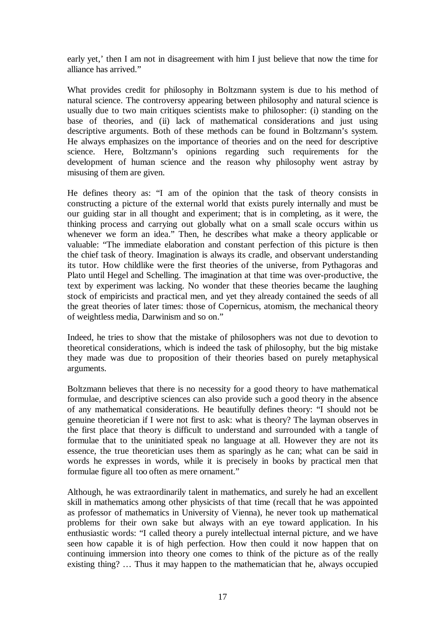early yet,' then I am not in disagreement with him I just believe that now the time for alliance has arrived."

What provides credit for philosophy in Boltzmann system is due to his method of natural science. The controversy appearing between philosophy and natural science is usually due to two main critiques scientists make to philosopher: (i) standing on the base of theories, and (ii) lack of mathematical considerations and just using descriptive arguments. Both of these methods can be found in Boltzmann's system. He always emphasizes on the importance of theories and on the need for descriptive science. Here, Boltzmann's opinions regarding such requirements for the development of human science and the reason why philosophy went astray by misusing of them are given.

He defines theory as: "I am of the opinion that the task of theory consists in constructing a picture of the external world that exists purely internally and must be our guiding star in all thought and experiment; that is in completing, as it were, the thinking process and carrying out globally what on a small scale occurs within us whenever we form an idea." Then, he describes what make a theory applicable or valuable: "The immediate elaboration and constant perfection of this picture is then the chief task of theory. Imagination is always its cradle, and observant understanding its tutor. How childlike were the first theories of the universe, from Pythagoras and Plato until Hegel and Schelling. The imagination at that time was over-productive, the text by experiment was lacking. No wonder that these theories became the laughing stock of empiricists and practical men, and yet they already contained the seeds of all the great theories of later times: those of Copernicus, atomism, the mechanical theory of weightless media, Darwinism and so on."

Indeed, he tries to show that the mistake of philosophers was not due to devotion to theoretical considerations, which is indeed the task of philosophy, but the big mistake they made was due to proposition of their theories based on purely metaphysical arguments.

Boltzmann believes that there is no necessity for a good theory to have mathematical formulae, and descriptive sciences can also provide such a good theory in the absence of any mathematical considerations. He beautifully defines theory: "I should not be genuine theoretician if I were not first to ask: what is theory? The layman observes in the first place that theory is difficult to understand and surrounded with a tangle of formulae that to the uninitiated speak no language at all. However they are not its essence, the true theoretician uses them as sparingly as he can; what can be said in words he expresses in words, while it is precisely in books by practical men that formulae figure all too often as mere ornament."

Although, he was extraordinarily talent in mathematics, and surely he had an excellent skill in mathematics among other physicists of that time (recall that he was appointed as professor of mathematics in University of Vienna), he never took up mathematical problems for their own sake but always with an eye toward application. In his enthusiastic words: "I called theory a purely intellectual internal picture, and we have seen how capable it is of high perfection. How then could it now happen that on continuing immersion into theory one comes to think of the picture as of the really existing thing? … Thus it may happen to the mathematician that he, always occupied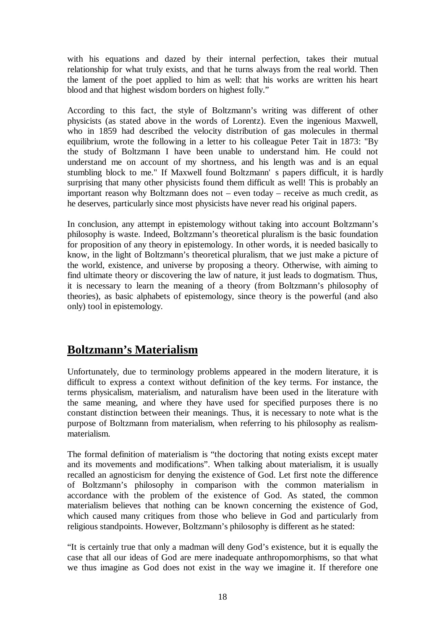with his equations and dazed by their internal perfection, takes their mutual relationship for what truly exists, and that he turns always from the real world. Then the lament of the poet applied to him as well: that his works are written his heart blood and that highest wisdom borders on highest folly."

According to this fact, the style of Boltzmann's writing was different of other physicists (as stated above in the words of Lorentz). Even the ingenious Maxwell, who in 1859 had described the velocity distribution of gas molecules in thermal equilibrium, wrote the following in a letter to his colleague Peter Tait in 1873: "By the study of Boltzmann I have been unable to understand him. He could not understand me on account of my shortness, and his length was and is an equal stumbling block to me." If Maxwell found Boltzmann' s papers difficult, it is hardly surprising that many other physicists found them difficult as well! This is probably an important reason why Boltzmann does not – even today – receive as much credit, as he deserves, particularly since most physicists have never read his original papers.

In conclusion, any attempt in epistemology without taking into account Boltzmann's philosophy is waste. Indeed, Boltzmann's theoretical pluralism is the basic foundation for proposition of any theory in epistemology. In other words, it is needed basically to know, in the light of Boltzmann's theoretical pluralism, that we just make a picture of the world, existence, and universe by proposing a theory. Otherwise, with aiming to find ultimate theory or discovering the law of nature, it just leads to dogmatism. Thus, it is necessary to learn the meaning of a theory (from Boltzmann's philosophy of theories), as basic alphabets of epistemology, since theory is the powerful (and also only) tool in epistemology.

# **Boltzmann's Materialism**

Unfortunately, due to terminology problems appeared in the modern literature, it is difficult to express a context without definition of the key terms. For instance, the terms physicalism, materialism, and naturalism have been used in the literature with the same meaning, and where they have used for specified purposes there is no constant distinction between their meanings. Thus, it is necessary to note what is the purpose of Boltzmann from materialism, when referring to his philosophy as realismmaterialism.

The formal definition of materialism is "the doctoring that noting exists except mater and its movements and modifications". When talking about materialism, it is usually recalled an agnosticism for denying the existence of God. Let first note the difference of Boltzmann's philosophy in comparison with the common materialism in accordance with the problem of the existence of God. As stated, the common materialism believes that nothing can be known concerning the existence of God, which caused many critiques from those who believe in God and particularly from religious standpoints. However, Boltzmann's philosophy is different as he stated:

"It is certainly true that only a madman will deny God's existence, but it is equally the case that all our ideas of God are mere inadequate anthropomorphisms, so that what we thus imagine as God does not exist in the way we imagine it. If therefore one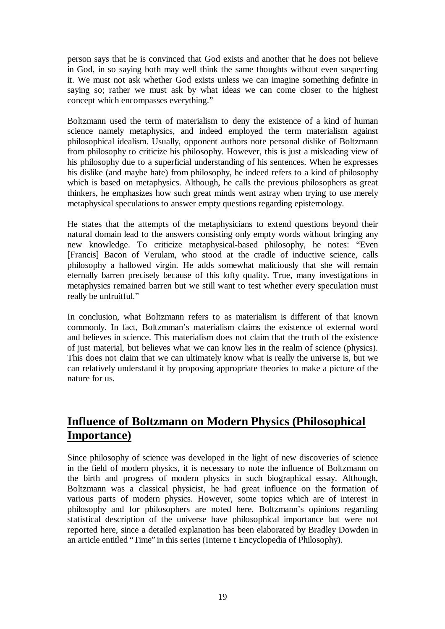person says that he is convinced that God exists and another that he does not believe in God, in so saying both may well think the same thoughts without even suspecting it. We must not ask whether God exists unless we can imagine something definite in saying so; rather we must ask by what ideas we can come closer to the highest concept which encompasses everything."

Boltzmann used the term of materialism to deny the existence of a kind of human science namely metaphysics, and indeed employed the term materialism against philosophical idealism. Usually, opponent authors note personal dislike of Boltzmann from philosophy to criticize his philosophy. However, this is just a misleading view of his philosophy due to a superficial understanding of his sentences. When he expresses his dislike (and maybe hate) from philosophy, he indeed refers to a kind of philosophy which is based on metaphysics. Although, he calls the previous philosophers as great thinkers, he emphasizes how such great minds went astray when trying to use merely metaphysical speculations to answer empty questions regarding epistemology.

He states that the attempts of the metaphysicians to extend questions beyond their natural domain lead to the answers consisting only empty words without bringing any new knowledge. To criticize metaphysical-based philosophy, he notes: "Even [Francis] Bacon of Verulam, who stood at the cradle of inductive science, calls philosophy a hallowed virgin. He adds somewhat maliciously that she will remain eternally barren precisely because of this lofty quality. True, many investigations in metaphysics remained barren but we still want to test whether every speculation must really be unfruitful."

In conclusion, what Boltzmann refers to as materialism is different of that known commonly. In fact, Boltzmman's materialism claims the existence of external word and believes in science. This materialism does not claim that the truth of the existence of just material, but believes what we can know lies in the realm of science (physics). This does not claim that we can ultimately know what is really the universe is, but we can relatively understand it by proposing appropriate theories to make a picture of the nature for us.

# **Influence of Boltzmann on Modern Physics (Philosophical Importance)**

Since philosophy of science was developed in the light of new discoveries of science in the field of modern physics, it is necessary to note the influence of Boltzmann on the birth and progress of modern physics in such biographical essay. Although, Boltzmann was a classical physicist, he had great influence on the formation of various parts of modern physics. However, some topics which are of interest in philosophy and for philosophers are noted here. Boltzmann's opinions regarding statistical description of the universe have philosophical importance but were not reported here, since a detailed explanation has been elaborated by Bradley Dowden in an article entitled "Time" in this series (Interne t Encyclopedia of Philosophy).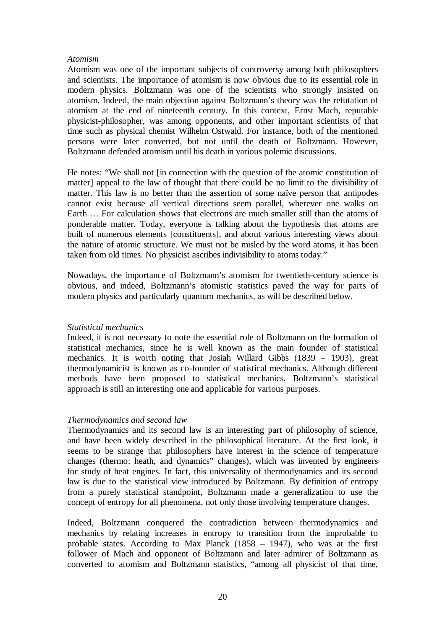#### *Atomism*

Atomism was one of the important subjects of controversy among both philosophers and scientists. The importance of atomism is now obvious due to its essential role in modern physics. Boltzmann was one of the scientists who strongly insisted on atomism. Indeed, the main objection against Boltzmann's theory was the refutation of atomism at the end of nineteenth century. In this context, Ernst Mach, reputable physicist-philosopher, was among opponents, and other important scientists of that time such as physical chemist Wilhelm Ostwald. For instance, both of the mentioned persons were later converted, but not until the death of Boltzmann. However, Boltzmann defended atomism until his death in various polemic discussions.

He notes: "We shall not [in connection with the question of the atomic constitution of matter] appeal to the law of thought that there could be no limit to the divisibility of matter. This law is no better than the assertion of some naïve person that antipodes cannot exist because all vertical directions seem parallel, wherever one walks on Earth … For calculation shows that electrons are much smaller still than the atoms of ponderable matter. Today, everyone is talking about the hypothesis that atoms are built of numerous elements [constituents], and about various interesting views about the nature of atomic structure. We must not be misled by the word atoms, it has been taken from old times. No physicist ascribes indivisibility to atoms today."

Nowadays, the importance of Boltzmann's atomism for twentieth-century science is obvious, and indeed, Boltzmann's atomistic statistics paved the way for parts of modern physics and particularly quantum mechanics, as will be described below.

### *Statistical mechanics*

Indeed, it is not necessary to note the essential role of Boltzmann on the formation of statistical mechanics, since he is well known as the main founder of statistical mechanics. It is worth noting that Josiah Willard Gibbs (1839 – 1903), great thermodynamicist is known as co-founder of statistical mechanics. Although different methods have been proposed to statistical mechanics, Boltzmann's statistical approach is still an interesting one and applicable for various purposes.

### *Thermodynamics and second law*

Thermodynamics and its second law is an interesting part of philosophy of science, and have been widely described in the philosophical literature. At the first look, it seems to be strange that philosophers have interest in the science of temperature changes (thermo: heath, and dynamics" changes), which was invented by engineers for study of heat engines. In fact, this universality of thermodynamics and its second law is due to the statistical view introduced by Boltzmann. By definition of entropy from a purely statistical standpoint, Boltzmann made a generalization to use the concept of entropy for all phenomena, not only those involving temperature changes.

Indeed, Boltzmann conquered the contradiction between thermodynamics and mechanics by relating increases in entropy to transition from the improbable to probable states. According to Max Planck (1858 – 1947), who was at the first follower of Mach and opponent of Boltzmann and later admirer of Boltzmann as converted to atomism and Boltzmann statistics, "among all physicist of that time,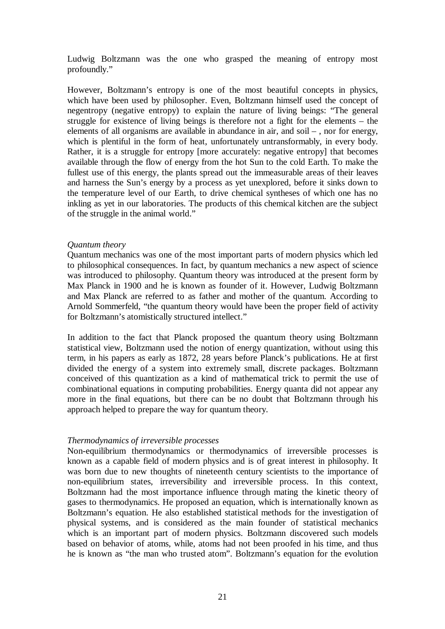Ludwig Boltzmann was the one who grasped the meaning of entropy most profoundly."

However, Boltzmann's entropy is one of the most beautiful concepts in physics, which have been used by philosopher. Even, Boltzmann himself used the concept of negentropy (negative entropy) to explain the nature of living beings: "The general struggle for existence of living beings is therefore not a fight for the elements – the elements of all organisms are available in abundance in air, and soil – , nor for energy, which is plentiful in the form of heat, unfortunately untransformably, in every body. Rather, it is a struggle for entropy [more accurately: negative entropy] that becomes available through the flow of energy from the hot Sun to the cold Earth. To make the fullest use of this energy, the plants spread out the immeasurable areas of their leaves and harness the Sun's energy by a process as yet unexplored, before it sinks down to the temperature level of our Earth, to drive chemical syntheses of which one has no inkling as yet in our laboratories. The products of this chemical kitchen are the subject of the struggle in the animal world."

#### *Quantum theory*

Quantum mechanics was one of the most important parts of modern physics which led to philosophical consequences. In fact, by quantum mechanics a new aspect of science was introduced to philosophy. Quantum theory was introduced at the present form by Max Planck in 1900 and he is known as founder of it. However, Ludwig Boltzmann and Max Planck are referred to as father and mother of the quantum. According to Arnold Sommerfeld, "the quantum theory would have been the proper field of activity for Boltzmann's atomistically structured intellect."

In addition to the fact that Planck proposed the quantum theory using Boltzmann statistical view, Boltzmann used the notion of energy quantization, without using this term, in his papers as early as 1872, 28 years before Planck's publications. He at first divided the energy of a system into extremely small, discrete packages. Boltzmann conceived of this quantization as a kind of mathematical trick to permit the use of combinational equations in computing probabilities. Energy quanta did not appear any more in the final equations, but there can be no doubt that Boltzmann through his approach helped to prepare the way for quantum theory.

### *Thermodynamics of irreversible processes*

Non-equilibrium thermodynamics or thermodynamics of irreversible processes is known as a capable field of modern physics and is of great interest in philosophy. It was born due to new thoughts of nineteenth century scientists to the importance of non-equilibrium states, irreversibility and irreversible process. In this context, Boltzmann had the most importance influence through mating the kinetic theory of gases to thermodynamics. He proposed an equation, which is internationally known as Boltzmann's equation. He also established statistical methods for the investigation of physical systems, and is considered as the main founder of statistical mechanics which is an important part of modern physics. Boltzmann discovered such models based on behavior of atoms, while, atoms had not been proofed in his time, and thus he is known as "the man who trusted atom". Boltzmann's equation for the evolution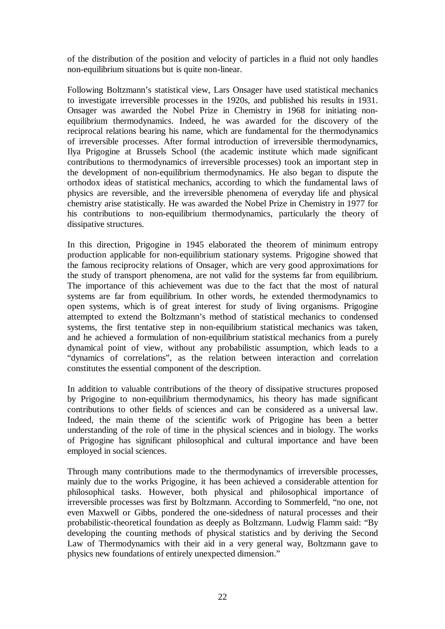of the distribution of the position and velocity of particles in a fluid not only handles non-equilibrium situations but is quite non-linear.

Following Boltzmann's statistical view, Lars Onsager have used statistical mechanics to investigate irreversible processes in the 1920s, and published his results in 1931. Onsager was awarded the Nobel Prize in Chemistry in 1968 for initiating nonequilibrium thermodynamics. Indeed, he was awarded for the discovery of the reciprocal relations bearing his name, which are fundamental for the thermodynamics of irreversible processes. After formal introduction of irreversible thermodynamics, Ilya Prigogine at Brussels School (the academic institute which made significant contributions to thermodynamics of irreversible processes) took an important step in the development of non-equilibrium thermodynamics. He also began to dispute the orthodox ideas of statistical mechanics, according to which the fundamental laws of physics are reversible, and the irreversible phenomena of everyday life and physical chemistry arise statistically. He was awarded the Nobel Prize in Chemistry in 1977 for his contributions to non-equilibrium thermodynamics, particularly the theory of dissipative structures.

In this direction, Prigogine in 1945 elaborated the theorem of minimum entropy production applicable for non-equilibrium stationary systems. Prigogine showed that the famous reciprocity relations of Onsager, which are very good approximations for the study of transport phenomena, are not valid for the systems far from equilibrium. The importance of this achievement was due to the fact that the most of natural systems are far from equilibrium. In other words, he extended thermodynamics to open systems, which is of great interest for study of living organisms. Prigogine attempted to extend the Boltzmann's method of statistical mechanics to condensed systems, the first tentative step in non-equilibrium statistical mechanics was taken, and he achieved a formulation of non-equilibrium statistical mechanics from a purely dynamical point of view, without any probabilistic assumption, which leads to a "dynamics of correlations", as the relation between interaction and correlation constitutes the essential component of the description.

In addition to valuable contributions of the theory of dissipative structures proposed by Prigogine to non-equilibrium thermodynamics, his theory has made significant contributions to other fields of sciences and can be considered as a universal law. Indeed, the main theme of the scientific work of Prigogine has been a better understanding of the role of time in the physical sciences and in biology. The works of Prigogine has significant philosophical and cultural importance and have been employed in social sciences.

Through many contributions made to the thermodynamics of irreversible processes, mainly due to the works Prigogine, it has been achieved a considerable attention for philosophical tasks. However, both physical and philosophical importance of irreversible processes was first by Boltzmann. According to Sommerfeld, "no one, not even Maxwell or Gibbs, pondered the one-sidedness of natural processes and their probabilistic-theoretical foundation as deeply as Boltzmann. Ludwig Flamm said: "By developing the counting methods of physical statistics and by deriving the Second Law of Thermodynamics with their aid in a very general way, Boltzmann gave to physics new foundations of entirely unexpected dimension."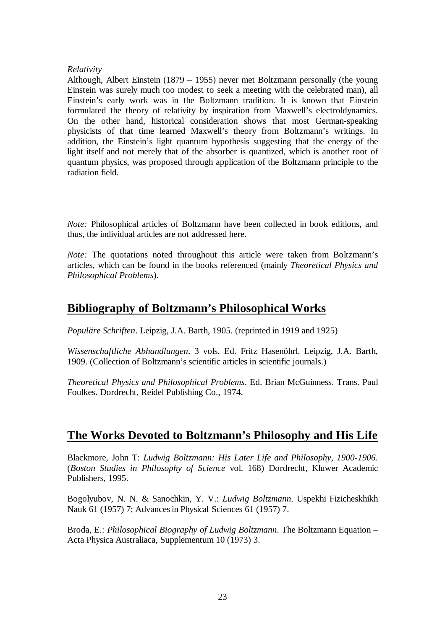### *Relativity*

Although, Albert Einstein (1879 – 1955) never met Boltzmann personally (the young Einstein was surely much too modest to seek a meeting with the celebrated man), all Einstein's early work was in the Boltzmann tradition. It is known that Einstein formulated the theory of relativity by inspiration from Maxwell's electroldynamics. On the other hand, historical consideration shows that most German-speaking physicists of that time learned Maxwell's theory from Boltzmann's writings. In addition, the Einstein's light quantum hypothesis suggesting that the energy of the light itself and not merely that of the absorber is quantized, which is another root of quantum physics, was proposed through application of the Boltzmann principle to the radiation field.

*Note:* Philosophical articles of Boltzmann have been collected in book editions, and thus, the individual articles are not addressed here.

*Note:* The quotations noted throughout this article were taken from Boltzmann's articles, which can be found in the books referenced (mainly *Theoretical Physics and Philosophical Problems*).

## **Bibliography of Boltzmann's Philosophical Works**

*Populäre Schriften*. Leipzig, J.A. Barth, 1905. (reprinted in 1919 and 1925)

*Wissenschaftliche Abhandlungen*. 3 vols. Ed. Fritz Hasenöhrl. Leipzig, J.A. Barth, 1909. (Collection of Boltzmann's scientific articles in scientific journals.)

*Theoretical Physics and Philosophical Problems*. Ed. Brian McGuinness. Trans. Paul Foulkes. Dordrecht, Reidel Publishing Co., 1974.

## **The Works Devoted to Boltzmann's Philosophy and His Life**

Blackmore, John T: *Ludwig Boltzmann: His Later Life and Philosophy, 1900-1906*. (*Boston Studies in Philosophy of Science* vol. 168) Dordrecht, Kluwer Academic Publishers, 1995.

Bogolyubov, N. N. & Sanochkin, Y. V.: *Ludwig Boltzmann*. Uspekhi Fizicheskhikh Nauk 61 (1957) 7; Advances in Physical Sciences 61 (1957) 7.

Broda, E.: *Philosophical Biography of Ludwig Boltzmann*. The Boltzmann Equation – Acta Physica Australiaca, Supplementum 10 (1973) 3.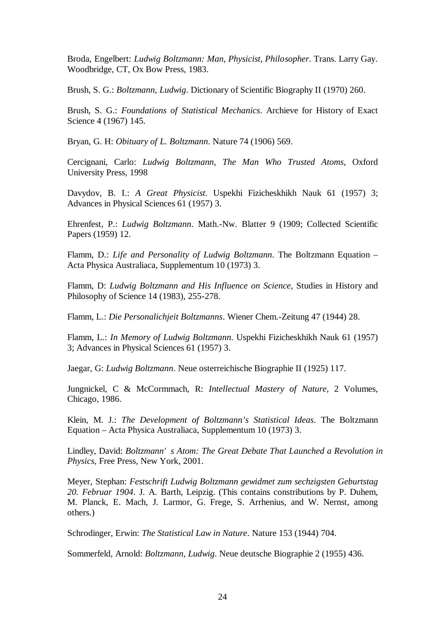Broda, Engelbert: *Ludwig Boltzmann: Man, Physicist, Philosopher*. Trans. Larry Gay. Woodbridge, CT, Ox Bow Press, 1983.

Brush, S. G.: *Boltzmann, Ludwig*. Dictionary of Scientific Biography II (1970) 260.

Brush, S. G.: *Foundations of Statistical Mechanics*. Archieve for History of Exact Science 4 (1967) 145.

Bryan, G. H: *Obituary of L. Boltzmann*. Nature 74 (1906) 569.

Cercignani, Carlo: *Ludwig Boltzmann, The Man Who Trusted Atoms*, Oxford University Press, 1998

Davydov, B. I.: *A Great Physicist*. Uspekhi Fizicheskhikh Nauk 61 (1957) 3; Advances in Physical Sciences 61 (1957) 3.

Ehrenfest, P.: *Ludwig Boltzmann*. Math.-Nw. Blatter 9 (1909; Collected Scientific Papers (1959) 12.

Flamm, D.: *Life and Personality of Ludwig Boltzmann*. The Boltzmann Equation – Acta Physica Australiaca, Supplementum 10 (1973) 3.

Flamm, D: *Ludwig Boltzmann and His Influence on Science*, Studies in History and Philosophy of Science 14 (1983), 255-278.

Flamm, L.: *Die Personalichjeit Boltzmanns*. Wiener Chem.-Zeitung 47 (1944) 28.

Flamm, L.: *In Memory of Ludwig Boltzmann*. Uspekhi Fizicheskhikh Nauk 61 (1957) 3; Advances in Physical Sciences 61 (1957) 3.

Jaegar, G: *Ludwig Boltzmann*. Neue osterreichische Biographie II (1925) 117.

Jungnickel, C & McCormmach, R: *Intellectual Mastery of Nature*, 2 Volumes, Chicago, 1986.

Klein, M. J.: *The Development of Boltzmann's Statistical Ideas*. The Boltzmann Equation – Acta Physica Australiaca, Supplementum 10 (1973) 3.

Lindley, David: *Boltzmann' s Atom: The Great Debate That Launched a Revolution in Physics*, Free Press, New York, 2001.

Meyer, Stephan: *Festschrift Ludwig Boltzmann gewidmet zum sechzigsten Geburtstag 20. Februar 1904*. J. A. Barth, Leipzig. (This contains constributions by P. Duhem, M. Planck, E. Mach, J. Larmor, G. Frege, S. Arrhenius, and W. Nernst, among others.)

Schrodinger, Erwin: *The Statistical Law in Nature*. Nature 153 (1944) 704.

Sommerfeld, Arnold: *Boltzmann, Ludwig*. Neue deutsche Biographie 2 (1955) 436.